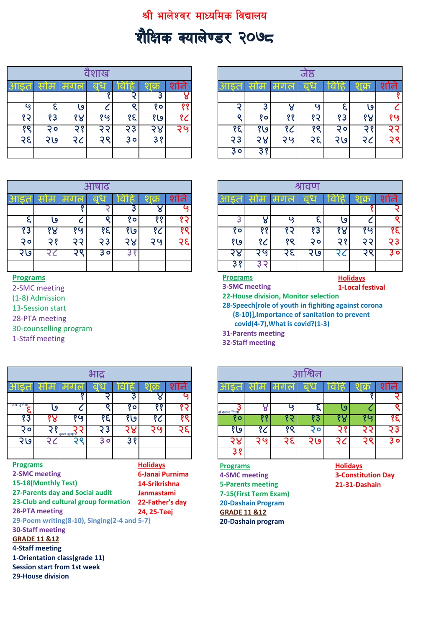## श्री भालेश्वर माध्यमिक विद्यालय

## शैक्षिक क्यालेण्डर २०७८

|              |              |     | शाख |            |            |           |       |                            |        | जष्ठ |      |      |     |
|--------------|--------------|-----|-----|------------|------------|-----------|-------|----------------------------|--------|------|------|------|-----|
| आइ<br>$\Box$ | साम          | मगल | बुध | वाह        | $\sqrt{5}$ | शनि       | သျချ  | साम                        | मगल    | बुध  | विहि | शक्र | शनि |
|              |              |     |     |            |            |           |       |                            |        |      |      |      |     |
| ٤o           |              | ٯ   |     |            | ٥          | ю         |       |                            |        | ί٥   |      | ٯ    |     |
|              | १३           | '४  | १७  | १६         | १७         | १८        |       | $^{\circ}$ $\circ$ $\cdot$ | 9 Q    | כי   | १३   | o    | १७  |
| oο           | २०।          |     | Э   | <u>i 3</u> | つて<br>-c   | <b>CO</b> | ٬ε    | <u>श्ख्र</u>               | १८     | oο   | O    |      |     |
| .  <         | ا وا $\zeta$ | .c  |     | $\bullet$  |            |           | ့၃    | $\circ$                    | ⊺ שֿ ר | ч    | २७   |      |     |
|              |              |     |     |            |            |           | 3 o I | 38                         |        |      |      |      |     |

|              |     |                       | वैशाख                               |           |            |     |
|--------------|-----|-----------------------|-------------------------------------|-----------|------------|-----|
|              | साम | $\sim$<br>$\sigma$ or | -<br><u>बच</u><br><b>Septiments</b> | m<br>वेहि | <b>Ish</b> | शान |
|              |     |                       |                                     |           |            |     |
| $\mathbf{c}$ | u   | a                     |                                     |           | O          |     |
| १२           | १३  |                       | 0 (ع                                | १६        | १७         |     |
| $\circ$      | २०  | $\circ$               | ಾ                                   | ζ         | っし<br>G 76 | τø  |
| २६           | ७   |                       | o                                   | $\circ$   |            |     |
|              |     |                       |                                     |           |            |     |

| आषाढ                                                              |                |                |               |        | श्रावण       |      |      |
|-------------------------------------------------------------------|----------------|----------------|---------------|--------|--------------|------|------|
| <u>and a</u><br>मगल<br>बध<br><b>TIME</b><br><b>a</b><br>साम<br>ls | क<br>शान       |                | साम           | मगल    | बुध          | वेहि | शक्र |
| ำ                                                                 | - 6            |                |               |        |              |      |      |
| $\mathbf{v}_0$<br>0،                                              | 0 <sub>0</sub> |                |               | ဖ      |              | ٯ    |      |
| Ҙ<br>୨७<br>ی'<br>G<br>$\circ$                                     | ັ              | $°$ o.         | o c           |        | ×.           | O    |      |
| $\circ$<br>$\bullet$                                              | ∍ ن7           | ی؛             | ີ             | oο     | O            |      |      |
| 3٥<br>့ပ<br>◡                                                     |                | ४              | ∍<br><u>ဖ</u> | $-5 -$ | $\mathbf{Q}$ | ີ    |      |
|                                                                   |                | 3 <sup>8</sup> |               |        |              |      |      |

## **Programs**

2-SMC meeting

(1-8) Admission

13-Session start

28-PTA meeting

30-counselling program

1-Staff meeting

|                 |                         |                                             | भाद्र |           |                 |      |                           |     |    | आश्विन |                 |                           |          |
|-----------------|-------------------------|---------------------------------------------|-------|-----------|-----------------|------|---------------------------|-----|----|--------|-----------------|---------------------------|----------|
| साइत            | साम                     | मग                                          | बध    | <b>IC</b> | शक्र            | शाने |                           | साम | मग | ब ध    | ावाह            |                           | शनि      |
|                 |                         |                                             |       | Ş         | ४               |      |                           |     |    |        |                 |                           |          |
| जन प णमा        | ٯا                      |                                             | o     | १०        | ११              | १२   | <b>3</b><br>सं वधान दिवस  | ୪   | ဖ  | ε      | ٯا              |                           |          |
| 83              | १४                      | १५                                          | १६    | १७        | १८              | १९   | १०                        | ११  | १२ | १३     | १४              | १५                        | ११       |
| <u>२०</u>       | २१                      | .<br>बाको मखहेर न                           | २३    | २४        | २५              | २६   | १७                        | १८  | १९ | २०     | २१              | २२                        | २३       |
| २७              | २८                      | २९                                          | ३०    | 38        |                 |      | २४                        | २५  | २६ | २७     | २८              | २९                        | <b>S</b> |
|                 |                         |                                             |       |           |                 |      | ३१                        |     |    |        |                 |                           |          |
| <b>Programs</b> |                         |                                             |       |           | <b>Holidays</b> |      | <b>Programs</b>           |     |    |        | <b>Holidays</b> |                           |          |
|                 | 2-SMC meeting           |                                             |       |           | 6-Janai Purnima |      | 4-SMC meeting             |     |    |        |                 | <b>3-Constitution Day</b> |          |
|                 | 15-18(Monthly Test)     |                                             |       |           | 14-Srikrishna   |      | <b>5-Parents meeting</b>  |     |    |        |                 | 21-31-Dashain             |          |
|                 |                         | 27-Parents day and Social audit             |       |           | Janmastami      |      | 7-15(First Term Exam)     |     |    |        |                 |                           |          |
|                 |                         | 23-Club and cultural group formation        |       |           | 22-Father's day |      | <b>20-Dashain Program</b> |     |    |        |                 |                           |          |
|                 | <b>28-PTA meeting</b>   |                                             |       |           | 24, 25-Teej     |      | <b>GRADE 11 &amp;12</b>   |     |    |        |                 |                           |          |
|                 |                         | 29-Poem writing(8-10), Singing(2-4 and 5-7) |       |           |                 |      | 20-Dashain program        |     |    |        |                 |                           |          |
|                 | <b>30-Staff meeting</b> |                                             |       |           |                 |      |                           |     |    |        |                 |                           |          |
|                 | <b>GRADE 11 &amp;12</b> |                                             |       |           |                 |      |                           |     |    |        |                 |                           |          |
|                 | 4-Staff meeting         |                                             |       |           |                 |      |                           |     |    |        |                 |                           |          |
|                 |                         | 1-Orientation class(grade 11)               |       |           |                 |      |                           |     |    |        |                 |                           |          |
|                 |                         | <b>Session start from 1st week</b>          |       |           |                 |      |                           |     |    |        |                 |                           |          |

**29-House division**

|    |     |     | आषाढ |     |          |      |                        |     |          | श्रावण                |          |        |       |
|----|-----|-----|------|-----|----------|------|------------------------|-----|----------|-----------------------|----------|--------|-------|
| o  | साम | ᆔᇬᅌ | ี่ ย | चाह | lch      | शाने | 1151<br>$\overline{a}$ | साम | ᆔᅁᇯ      | ଣ ଯ<br><b>Service</b> | व<br>Is  | l ch   | शान   |
|    |     |     |      |     |          | - 0  |                        |     |          |                       |          |        |       |
|    | 9۱  |     |      | 9 o | o o      |      |                        |     | <b>Q</b> |                       | 9        |        |       |
| १३ | ō   | १७  | १६   | . ७ | ັ        | 9 O  | '٥                     |     |          | '3                    | $\sigma$ | १७     | १६ ।  |
| २० |     |     | 3    | - O | <u>ی</u> |      | १७९                    | ີ   |          | $\circ$               |          |        | 3     |
| २७ |     | n   | 3 о  |     |          |      | c                      | Q   | ╮<br>u   | ७                     |          | ⌒<br>O | 3 o l |
|    |     |     |      |     |          |      | 38                     |     |          |                       |          |        |       |

**Programs**

**Holidays 1-Local festival** 

**3-SMC meeting**

**22-House division, Monitor selection 28-Speech[role of youth in fighiting against corona (8-10)],Importance of sanitation to prevent** 

 **covid(4-7),What is covid?(1-3)**

**31-Parents meeting**

**32-Staff meeting**

|         |     |                  | भाद्र   |         |                |             |              |     |      | आर्थिन |      |       |       |
|---------|-----|------------------|---------|---------|----------------|-------------|--------------|-----|------|--------|------|-------|-------|
| 5d      | साम | ।मगल             | बुध     | वाह     | शक             | <u>राान</u> | 115d         | साम | ।मगल | U<br>ଷ | ावाह | शक्र  | ।न    |
|         |     |                  |         |         |                |             |              |     |      |        |      |       |       |
| प णमा   | ۰9  |                  |         | १०      | 0 <sub>0</sub> |             | सं वधान दिवस |     | rο   |        |      |       |       |
| 83      |     | ی و              | $\circ$ | o<br>و\ | ີ              | oο          | <b>Po</b>    |     |      | R      |      | ه ) 0 | १६    |
| $\circ$ |     | ग्वाको मुखहेर,ते | ×       |         |                |             | ११९          |     |      |        |      |       | ۰J    |
| २७      |     |                  | ه 3     | 2 O     |                |             |              |     |      | ıα     |      |       | 3 o I |
|         |     |                  |         |         |                |             |              |     |      |        |      |       |       |